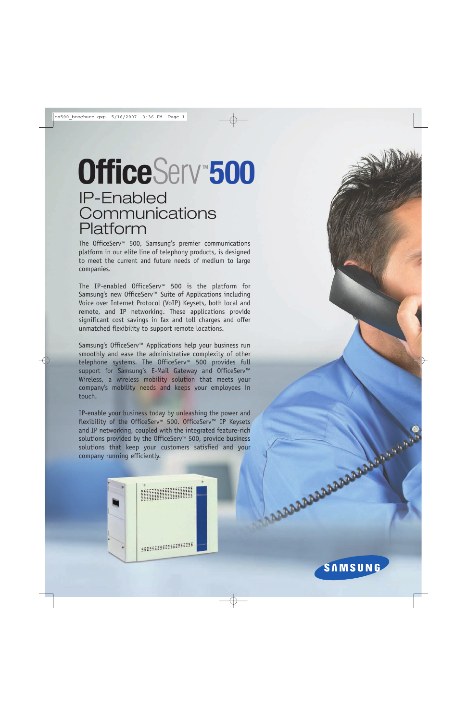# IP-Enabled **Communications** Platform **OfficeServ 500**

The OfficeServ™ 500, Samsung's premier communications platform in our elite line of telephony products, is designed to meet the current and future needs of medium to large companies.

The IP-enabled OfficeServ™ 500 is the platform for Samsung's new OfficeServ™ Suite of Applications including Voice over Internet Protocol (VoIP) Keysets, both local and remote, and IP networking. These applications provide significant cost savings in fax and toll charges and offer unmatched flexibility to support remote locations.

Samsung's OfficeServ™ Applications help your business run smoothly and ease the administrative complexity of other telephone systems. The OfficeServ™ 500 provides full support for Samsung's E-Mail Gateway and OfficeServ™ Wireless, a wireless mobility solution that meets your company's mobility needs and keeps your employees in touch.

IP-enable your business today by unleashing the power and flexibility of the OfficeServ™ 500. OfficeServ™ IP Keysets and IP networking, coupled with the integrated feature-rich solutions provided by the OfficeServ<sup>™</sup> 500, provide business solutions that keep your customers satisfied and your company running efficiently.

**ARABABARABARABARASH** 

**SAMSUNG**